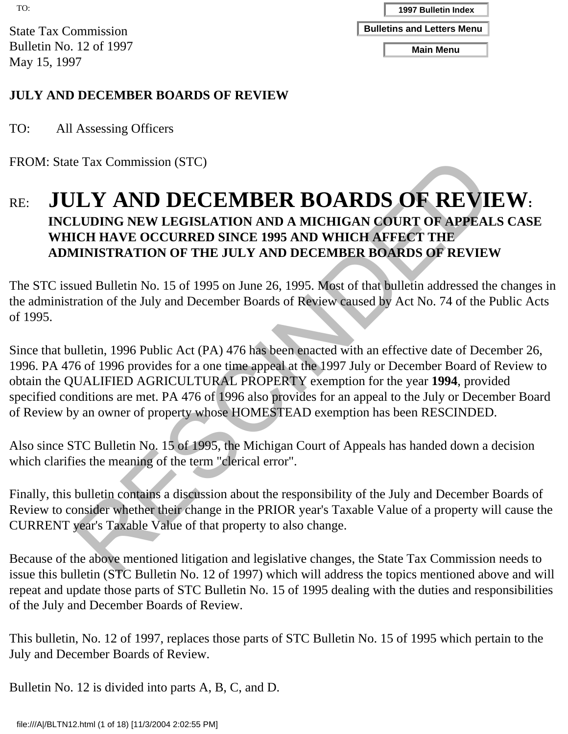State Tax Commission Bulletin No. 12 of 1997 May 15, 1997

#### **JULY AND DECEMBER BOARDS OF REVIEW**

TO: All Assessing Officers

FROM: State Tax Commission (STC)

## RE: **JULY AND DECEMBER BOARDS OF REVIEW: INCLUDING NEW LEGISLATION AND A MICHIGAN COURT OF APPEALS CASE WHICH HAVE OCCURRED SINCE 1995 AND WHICH AFFECT THE ADMINISTRATION OF THE JULY AND DECEMBER BOARDS OF REVIEW**

The STC issued Bulletin No. 15 of 1995 on June 26, 1995. Most of that bulletin addressed the changes in the administration of the July and December Boards of Review caused by Act No. 74 of the Public Acts of 1995.

e Tax Commission (STC)<br>
ILY AND DECEMBER BOARDS OF REVILLIUDING NEW LECTEMBER BOARDER DONNIGATOR NEW LECTEL HAVE OCCURRED SINCE 1995 AND WHICH AFFECT OF APPEAL<br>
HINISTRATION OF THE JULY AND DECEMBER BOARDS OF REVIEV<br>
HINIS Since that bulletin, 1996 Public Act (PA) 476 has been enacted with an effective date of December 26, 1996. PA 476 of 1996 provides for a one time appeal at the 1997 July or December Board of Review to obtain the QUALIFIED AGRICULTURAL PROPERTY exemption for the year **1994**, provided specified conditions are met. PA 476 of 1996 also provides for an appeal to the July or December Board of Review by an owner of property whose HOMESTEAD exemption has been RESCINDED. File: Tax Commission<br>
The Tax Commission<br>
The Tax Commission (STC)<br>
They 15, 1997<br>
To 15, 1997<br>
To 17, 2004<br>
COM: Shute Tax Commission (STC)<br>
All Assessing Officers<br>
ROM: Shute Tax Commission (STC)<br>
MAICHE AND DECCEMBER BO

Also since STC Bulletin No. 15 of 1995, the Michigan Court of Appeals has handed down a decision which clarifies the meaning of the term "clerical error".

Finally, this bulletin contains a discussion about the responsibility of the July and December Boards of Review to consider whether their change in the PRIOR year's Taxable Value of a property will cause the CURRENT year's Taxable Value of that property to also change.

Because of the above mentioned litigation and legislative changes, the State Tax Commission needs to issue this bulletin (STC Bulletin No. 12 of 1997) which will address the topics mentioned above and will repeat and update those parts of STC Bulletin No. 15 of 1995 dealing with the duties and responsibilities of the July and December Boards of Review.

This bulletin, No. 12 of 1997, replaces those parts of STC Bulletin No. 15 of 1995 which pertain to the July and December Boards of Review.

Bulletin No. 12 is divided into parts A, B, C, and D.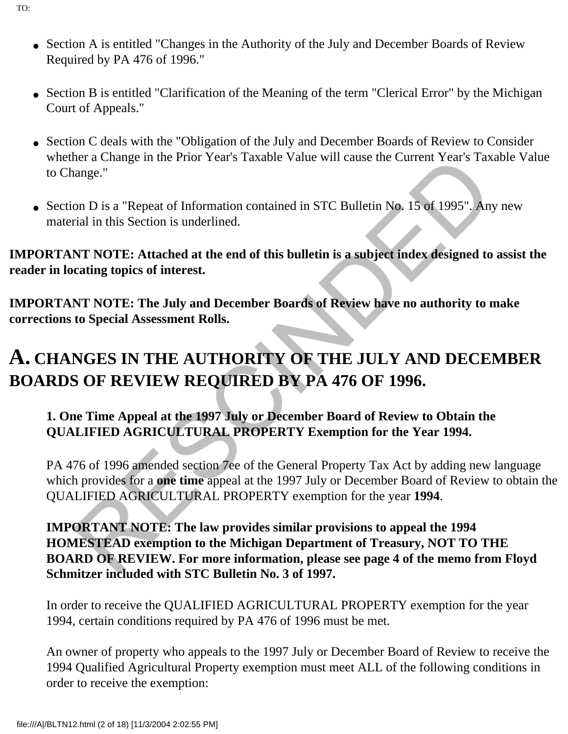- Section A is entitled "Changes in the Authority of the July and December Boards of Review Required by PA 476 of 1996."
- Section B is entitled "Clarification of the Meaning of the term "Clerical Error" by the Michigan Court of Appeals."
- Section C deals with the "Obligation of the July and December Boards of Review to Consider whether a Change in the Prior Year's Taxable Value will cause the Current Year's Taxable Value to Change."
- Section D is a "Repeat of Information contained in STC Bulletin No. 15 of 1995". Any new material in this Section is underlined.

**IMPORTANT NOTE: Attached at the end of this bulletin is a subject index designed to assist the reader in locating topics of interest.**

**IMPORTANT NOTE: The July and December Boards of Review have no authority to make corrections to Special Assessment Rolls.**

# **A. CHANGES IN THE AUTHORITY OF THE JULY AND DECEMBER BOARDS OF REVIEW REQUIRED BY PA 476 OF 1996.**

#### **1. One Time Appeal at the 1997 July or December Board of Review to Obtain the QUALIFIED AGRICULTURAL PROPERTY Exemption for the Year 1994.**

PA 476 of 1996 amended section 7ee of the General Property Tax Act by adding new language which provides for a **one time** appeal at the 1997 July or December Board of Review to obtain the QUALIFIED AGRICULTURAL PROPERTY exemption for the year **1994**.

there are thange in the Prior Years 1 axable Value will cause the Current Years 1 axange."<br>
Sange."<br>
The Care of Information contained in STC Bulletin No. 15 of 1995". Any<br>
trial in this Section is underlined.<br>
NT NOTE: At **IMPORTANT NOTE: The law provides similar provisions to appeal the 1994 HOMESTEAD exemption to the Michigan Department of Treasury, NOT TO THE BOARD OF REVIEW. For more information, please see page 4 of the memo from Floyd Schmitzer included with STC Bulletin No. 3 of 1997.**

In order to receive the QUALIFIED AGRICULTURAL PROPERTY exemption for the year 1994, certain conditions required by PA 476 of 1996 must be met.

An owner of property who appeals to the 1997 July or December Board of Review to receive the 1994 Qualified Agricultural Property exemption must meet ALL of the following conditions in order to receive the exemption: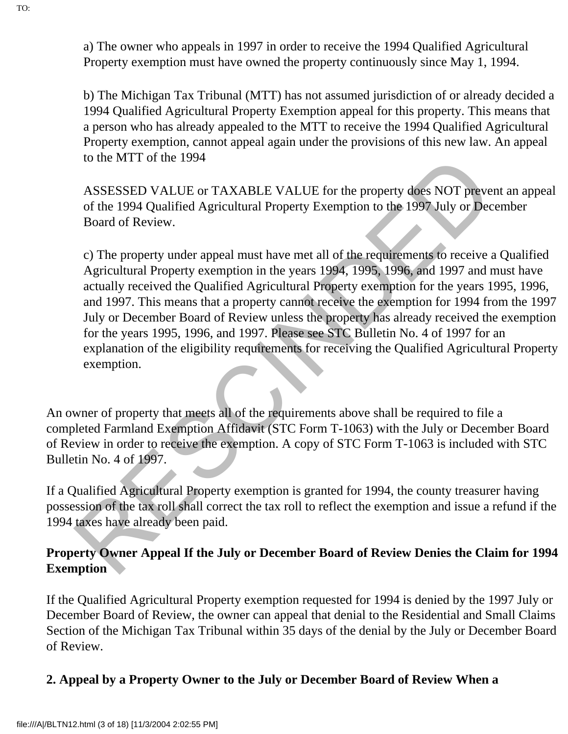a) The owner who appeals in 1997 in order to receive the 1994 Qualified Agricultural Property exemption must have owned the property continuously since May 1, 1994.

b) The Michigan Tax Tribunal (MTT) has not assumed jurisdiction of or already decided a 1994 Qualified Agricultural Property Exemption appeal for this property. This means that a person who has already appealed to the MTT to receive the 1994 Qualified Agricultural Property exemption, cannot appeal again under the provisions of this new law. An appeal to the MTT of the 1994

ASSESSED VALUE or TAXABLE VALUE for the property does NOT prevent an appeal of the 1994 Qualified Agricultural Property Exemption to the 1997 July or December Board of Review.

to the M1T of the 1994<br>ASSESSED VALUE or TAXABLE VALUE for the property does NOT prevers of the 1994 Qualified Agricultural Property Exemption to the 1997 July or December of Review.<br>
c) The property under appeal must have c) The property under appeal must have met all of the requirements to receive a Qualified Agricultural Property exemption in the years 1994, 1995, 1996, and 1997 and must have actually received the Qualified Agricultural Property exemption for the years 1995, 1996, and 1997. This means that a property cannot receive the exemption for 1994 from the 1997 July or December Board of Review unless the property has already received the exemption for the years 1995, 1996, and 1997. Please see STC Bulletin No. 4 of 1997 for an explanation of the eligibility requirements for receiving the Qualified Agricultural Property exemption.

An owner of property that meets all of the requirements above shall be required to file a completed Farmland Exemption Affidavit (STC Form T-1063) with the July or December Board of Review in order to receive the exemption. A copy of STC Form T-1063 is included with STC Bulletin No. 4 of 1997.

If a Qualified Agricultural Property exemption is granted for 1994, the county treasurer having possession of the tax roll shall correct the tax roll to reflect the exemption and issue a refund if the 1994 taxes have already been paid.

#### **Property Owner Appeal If the July or December Board of Review Denies the Claim for 1994 Exemption**

If the Qualified Agricultural Property exemption requested for 1994 is denied by the 1997 July or December Board of Review, the owner can appeal that denial to the Residential and Small Claims Section of the Michigan Tax Tribunal within 35 days of the denial by the July or December Board of Review.

#### **2. Appeal by a Property Owner to the July or December Board of Review When a**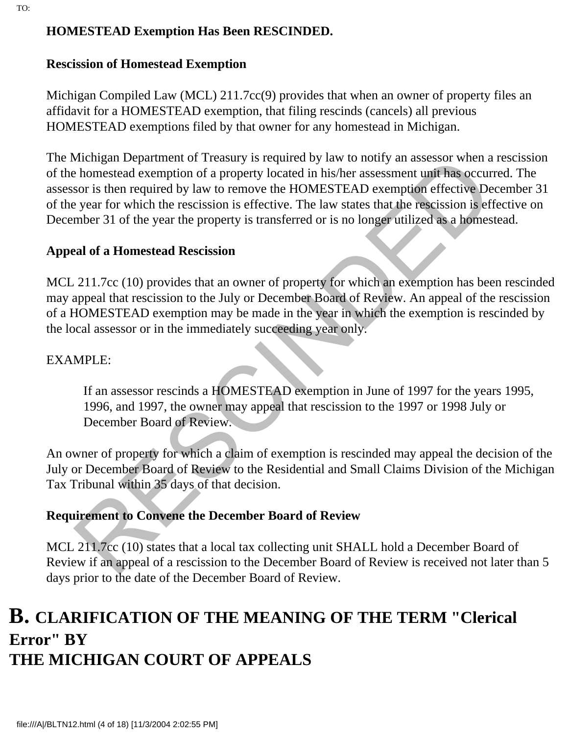#### **HOMESTEAD Exemption Has Been RESCINDED.**

#### **Rescission of Homestead Exemption**

Michigan Compiled Law (MCL) 211.7cc(9) provides that when an owner of property files an affidavit for a HOMESTEAD exemption, that filing rescinds (cancels) all previous HOMESTEAD exemptions filed by that owner for any homestead in Michigan.

Whelingan Department of Treasury is required by law to notily an assessor when<br>thomestead exemption of a property located in his/her assessment unit has occur<br>for is then required by law to remove the HOMESTEAD exemption e The Michigan Department of Treasury is required by law to notify an assessor when a rescission of the homestead exemption of a property located in his/her assessment unit has occurred. The assessor is then required by law to remove the HOMESTEAD exemption effective December 31 of the year for which the rescission is effective. The law states that the rescission is effective on December 31 of the year the property is transferred or is no longer utilized as a homestead.

#### **Appeal of a Homestead Rescission**

MCL 211.7cc (10) provides that an owner of property for which an exemption has been rescinded may appeal that rescission to the July or December Board of Review. An appeal of the rescission of a HOMESTEAD exemption may be made in the year in which the exemption is rescinded by the local assessor or in the immediately succeeding year only.

#### EXAMPLE:

If an assessor rescinds a HOMESTEAD exemption in June of 1997 for the years 1995, 1996, and 1997, the owner may appeal that rescission to the 1997 or 1998 July or December Board of Review.

An owner of property for which a claim of exemption is rescinded may appeal the decision of the July or December Board of Review to the Residential and Small Claims Division of the Michigan Tax Tribunal within 35 days of that decision.

#### **Requirement to Convene the December Board of Review**

MCL 211.7cc (10) states that a local tax collecting unit SHALL hold a December Board of Review if an appeal of a rescission to the December Board of Review is received not later than 5 days prior to the date of the December Board of Review.

# **B. CLARIFICATION OF THE MEANING OF THE TERM "Clerical Error" BY THE MICHIGAN COURT OF APPEALS**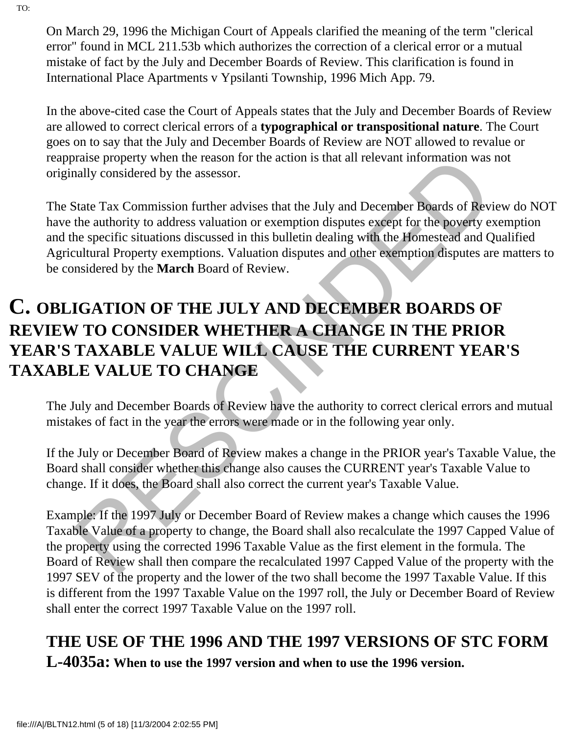On March 29, 1996 the Michigan Court of Appeals clarified the meaning of the term "clerical error" found in MCL 211.53b which authorizes the correction of a clerical error or a mutual mistake of fact by the July and December Boards of Review. This clarification is found in International Place Apartments v Ypsilanti Township, 1996 Mich App. 79.

In the above-cited case the Court of Appeals states that the July and December Boards of Review are allowed to correct clerical errors of a **typographical or transpositional nature**. The Court goes on to say that the July and December Boards of Review are NOT allowed to revalue or reappraise property when the reason for the action is that all relevant information was not originally considered by the assessor.

The State Tax Commission further advises that the July and December Boards of Review do NOT have the authority to address valuation or exemption disputes except for the poverty exemption and the specific situations discussed in this bulletin dealing with the Homestead and Qualified Agricultural Property exemptions. Valuation disputes and other exemption disputes are matters to be considered by the **March** Board of Review.

# Translate property when the reason for the action is that all relevant information was<br>ally considered by the assessor.<br>That all relevant information was<br>alter Tax Commission further advises that the July and December Boar **C. OBLIGATION OF THE JULY AND DECEMBER BOARDS OF REVIEW TO CONSIDER WHETHER A CHANGE IN THE PRIOR YEAR'S TAXABLE VALUE WILL CAUSE THE CURRENT YEAR'S TAXABLE VALUE TO CHANGE**

The July and December Boards of Review have the authority to correct clerical errors and mutual mistakes of fact in the year the errors were made or in the following year only.

If the July or December Board of Review makes a change in the PRIOR year's Taxable Value, the Board shall consider whether this change also causes the CURRENT year's Taxable Value to change. If it does, the Board shall also correct the current year's Taxable Value.

Example: If the 1997 July or December Board of Review makes a change which causes the 1996 Taxable Value of a property to change, the Board shall also recalculate the 1997 Capped Value of the property using the corrected 1996 Taxable Value as the first element in the formula. The Board of Review shall then compare the recalculated 1997 Capped Value of the property with the 1997 SEV of the property and the lower of the two shall become the 1997 Taxable Value. If this is different from the 1997 Taxable Value on the 1997 roll, the July or December Board of Review shall enter the correct 1997 Taxable Value on the 1997 roll.

# **THE USE OF THE 1996 AND THE 1997 VERSIONS OF STC FORM**

**L-4035a: When to use the 1997 version and when to use the 1996 version.**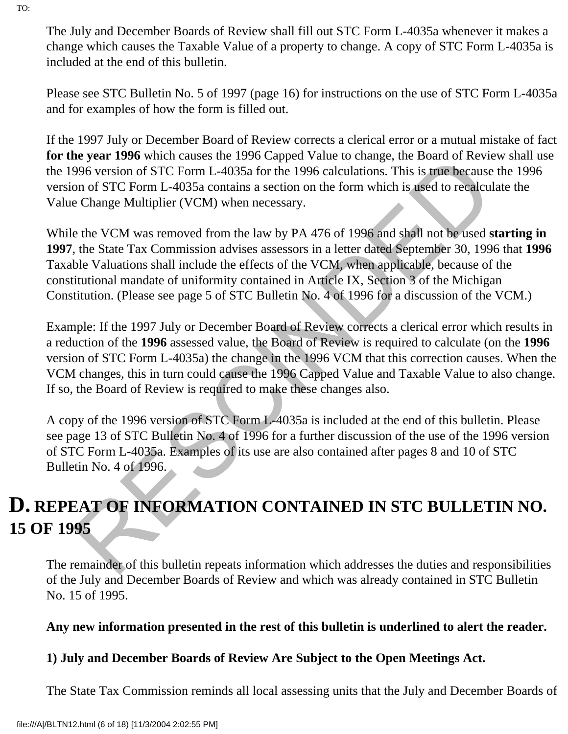The July and December Boards of Review shall fill out STC Form L-4035a whenever it makes a change which causes the Taxable Value of a property to change. A copy of STC Form L-4035a is included at the end of this bulletin.

Please see STC Bulletin No. 5 of 1997 (page 16) for instructions on the use of STC Form L-4035a and for examples of how the form is filled out.

If the 1997 July or December Board of Review corrects a clerical error or a mutual mistake of fact **for the year 1996** which causes the 1996 Capped Value to change, the Board of Review shall use the 1996 version of STC Form L-4035a for the 1996 calculations. This is true because the 1996 version of STC Form L-4035a contains a section on the form which is used to recalculate the Value Change Multiplier (VCM) when necessary.

While the VCM was removed from the law by PA 476 of 1996 and shall not be used **starting in 1997**, the State Tax Commission advises assessors in a letter dated September 30, 1996 that **1996** Taxable Valuations shall include the effects of the VCM, when applicable, because of the constitutional mandate of uniformity contained in Article IX, Section 3 of the Michigan Constitution. (Please see page 5 of STC Bulletin No. 4 of 1996 for a discussion of the VCM.)

e year 1990 winch causes the 1990 capped value to crange, the board of recoverance of the space of the 1996 version of STC Form L-4035a for the 1996 calculations. This is true because on of STC Form L-4035a contains a sect Example: If the 1997 July or December Board of Review corrects a clerical error which results in a reduction of the **1996** assessed value, the Board of Review is required to calculate (on the **1996** version of STC Form L-4035a) the change in the 1996 VCM that this correction causes. When the VCM changes, this in turn could cause the 1996 Capped Value and Taxable Value to also change. If so, the Board of Review is required to make these changes also.

A copy of the 1996 version of STC Form L-4035a is included at the end of this bulletin. Please see page 13 of STC Bulletin No. 4 of 1996 for a further discussion of the use of the 1996 version of STC Form L-4035a. Examples of its use are also contained after pages 8 and 10 of STC Bulletin No. 4 of 1996.

# **D. REPEAT OF INFORMATION CONTAINED IN STC BULLETIN NO. 15 OF 1995**

The remainder of this bulletin repeats information which addresses the duties and responsibilities of the July and December Boards of Review and which was already contained in STC Bulletin No. 15 of 1995.

#### **Any new information presented in the rest of this bulletin is underlined to alert the reader.**

#### **1) July and December Boards of Review Are Subject to the Open Meetings Act.**

The State Tax Commission reminds all local assessing units that the July and December Boards of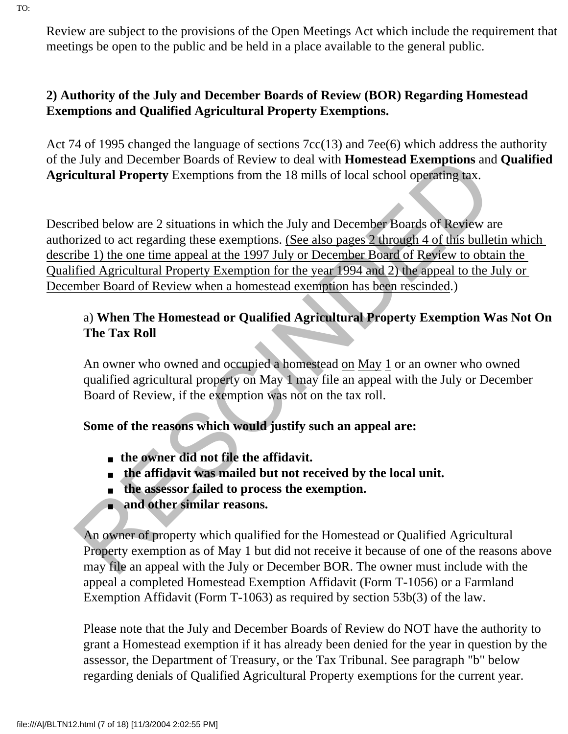Review are subject to the provisions of the Open Meetings Act which include the requirement that meetings be open to the public and be held in a place available to the general public.

#### **2) Authority of the July and December Boards of Review (BOR) Regarding Homestead Exemptions and Qualified Agricultural Property Exemptions.**

Act 74 of 1995 changed the language of sections 7cc(13) and 7ee(6) which address the authority of the July and December Boards of Review to deal with **Homestead Exemptions** and **Qualified Agricultural Property** Exemptions from the 18 mills of local school operating tax.

July and December Boards of Review to deal with **Homestead Exemptions** and<br> **Calcultural Property** Exemptions from the 18 mills of local school operating tax.<br>
Fiber delow are 2 situations in which the July and December B Described below are 2 situations in which the July and December Boards of Review are authorized to act regarding these exemptions. (See also pages 2 through 4 of this bulletin which describe 1) the one time appeal at the 1997 July or December Board of Review to obtain the Qualified Agricultural Property Exemption for the year 1994 and 2) the appeal to the July or December Board of Review when a homestead exemption has been rescinded.)

#### a) **When The Homestead or Qualified Agricultural Property Exemption Was Not On The Tax Roll**

An owner who owned and occupied a homestead on May 1 or an owner who owned qualified agricultural property on May 1 may file an appeal with the July or December Board of Review, if the exemption was not on the tax roll.

#### **Some of the reasons which would justify such an appeal are:**

- **the owner did not file the affidavit.**
- **the affidavit was mailed but not received by the local unit.**
- **the assessor failed to process the exemption.**
- **and other similar reasons.**

An owner of property which qualified for the Homestead or Qualified Agricultural Property exemption as of May 1 but did not receive it because of one of the reasons above may file an appeal with the July or December BOR. The owner must include with the appeal a completed Homestead Exemption Affidavit (Form T-1056) or a Farmland Exemption Affidavit (Form T-1063) as required by section 53b(3) of the law.

Please note that the July and December Boards of Review do NOT have the authority to grant a Homestead exemption if it has already been denied for the year in question by the assessor, the Department of Treasury, or the Tax Tribunal. See paragraph "b" below regarding denials of Qualified Agricultural Property exemptions for the current year.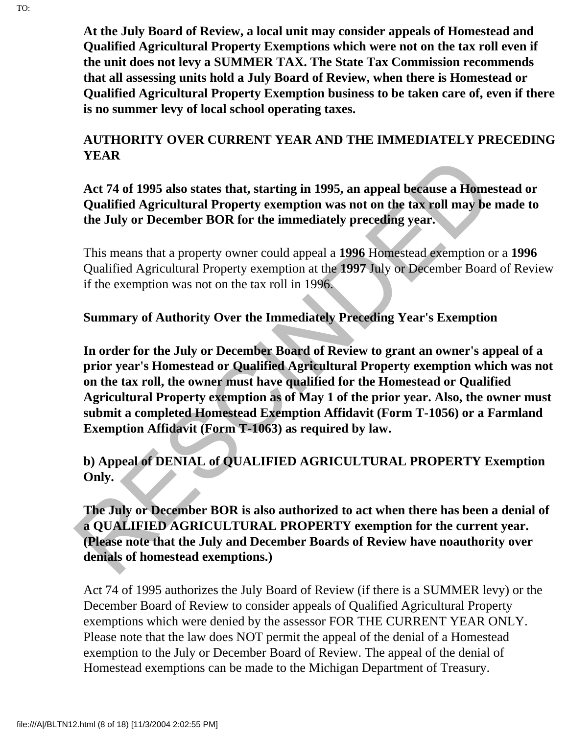**At the July Board of Review, a local unit may consider appeals of Homestead and Qualified Agricultural Property Exemptions which were not on the tax roll even if the unit does not levy a SUMMER TAX. The State Tax Commission recommends that all assessing units hold a July Board of Review, when there is Homestead or Qualified Agricultural Property Exemption business to be taken care of, even if there is no summer levy of local school operating taxes.**

#### **AUTHORITY OVER CURRENT YEAR AND THE IMMEDIATELY PRECEDING YEAR**

#### **Act 74 of 1995 also states that, starting in 1995, an appeal because a Homestead or Qualified Agricultural Property exemption was not on the tax roll may be made to the July or December BOR for the immediately preceding year.**

This means that a property owner could appeal a **1996** Homestead exemption or a **1996** Qualified Agricultural Property exemption at the **1997** July or December Board of Review if the exemption was not on the tax roll in 1996.

#### **Summary of Authority Over the Immediately Preceding Year's Exemption**

TRAK According to the states that, starting in 1995, an appeal because a Home<br>Qualified Agricultural Property exemption was not on the tax roll may be<br>the July or December BOR for the immediately preceding year.<br>This means **In order for the July or December Board of Review to grant an owner's appeal of a prior year's Homestead or Qualified Agricultural Property exemption which was not on the tax roll, the owner must have qualified for the Homestead or Qualified Agricultural Property exemption as of May 1 of the prior year. Also, the owner must submit a completed Homestead Exemption Affidavit (Form T-1056) or a Farmland Exemption Affidavit (Form T-1063) as required by law.**

#### **b) Appeal of DENIAL of QUALIFIED AGRICULTURAL PROPERTY Exemption Only.**

#### **The July or December BOR is also authorized to act when there has been a denial of a QUALIFIED AGRICULTURAL PROPERTY exemption for the current year. (Please note that the July and December Boards of Review have noauthority over denials of homestead exemptions.)**

Act 74 of 1995 authorizes the July Board of Review (if there is a SUMMER levy) or the December Board of Review to consider appeals of Qualified Agricultural Property exemptions which were denied by the assessor FOR THE CURRENT YEAR ONLY. Please note that the law does NOT permit the appeal of the denial of a Homestead exemption to the July or December Board of Review. The appeal of the denial of Homestead exemptions can be made to the Michigan Department of Treasury.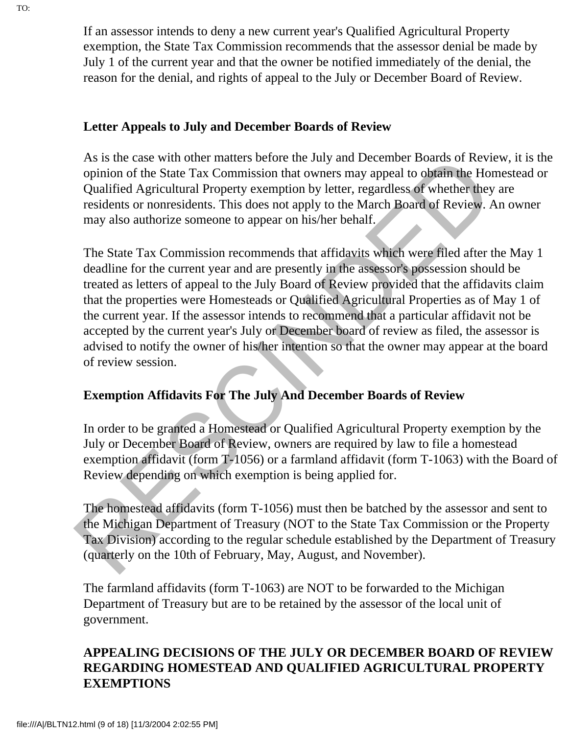If an assessor intends to deny a new current year's Qualified Agricultural Property exemption, the State Tax Commission recommends that the assessor denial be made by July 1 of the current year and that the owner be notified immediately of the denial, the reason for the denial, and rights of appeal to the July or December Board of Review.

#### **Letter Appeals to July and December Boards of Review**

As is the case with other matters before the July and December Boards of Review, it is the opinion of the State Tax Commission that owners may appeal to obtain the Homestead or Qualified Agricultural Property exemption by letter, regardless of whether they are residents or nonresidents. This does not apply to the March Board of Review. An owner may also authorize someone to appear on his/her behalf.

As is the case with other matters belone that y and December Boards of Revise<br>opinion of the State Tax Commission that owners may appeal to obtain the Hot<br>Qualified Agricultural Property exemption by letter, regardless of The State Tax Commission recommends that affidavits which were filed after the May 1 deadline for the current year and are presently in the assessor's possession should be treated as letters of appeal to the July Board of Review provided that the affidavits claim that the properties were Homesteads or Qualified Agricultural Properties as of May 1 of the current year. If the assessor intends to recommend that a particular affidavit not be accepted by the current year's July or December board of review as filed, the assessor is advised to notify the owner of his/her intention so that the owner may appear at the board of review session.

#### **Exemption Affidavits For The July And December Boards of Review**

In order to be granted a Homestead or Qualified Agricultural Property exemption by the July or December Board of Review, owners are required by law to file a homestead exemption affidavit (form T-1056) or a farmland affidavit (form T-1063) with the Board of Review depending on which exemption is being applied for.

The homestead affidavits (form T-1056) must then be batched by the assessor and sent to the Michigan Department of Treasury (NOT to the State Tax Commission or the Property Tax Division) according to the regular schedule established by the Department of Treasury (quarterly on the 10th of February, May, August, and November).

The farmland affidavits (form T-1063) are NOT to be forwarded to the Michigan Department of Treasury but are to be retained by the assessor of the local unit of government.

#### **APPEALING DECISIONS OF THE JULY OR DECEMBER BOARD OF REVIEW REGARDING HOMESTEAD AND QUALIFIED AGRICULTURAL PROPERTY EXEMPTIONS**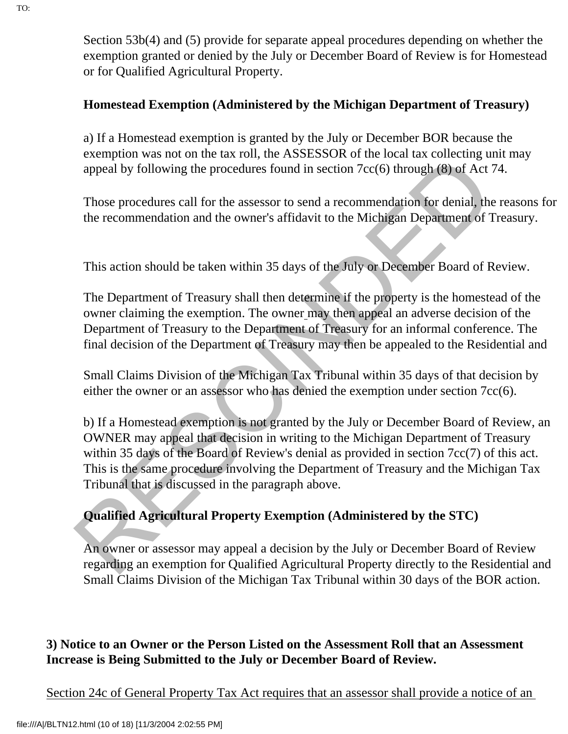Section 53b(4) and (5) provide for separate appeal procedures depending on whether the exemption granted or denied by the July or December Board of Review is for Homestead or for Qualified Agricultural Property.

#### **Homestead Exemption (Administered by the Michigan Department of Treasury)**

a) If a Homestead exemption is granted by the July or December BOR because the exemption was not on the tax roll, the ASSESSOR of the local tax collecting unit may appeal by following the procedures found in section 7cc(6) through (8) of Act 74.

Those procedures call for the assessor to send a recommendation for denial, the reasons for the recommendation and the owner's affidavit to the Michigan Department of Treasury.

This action should be taken within 35 days of the July or December Board of Review.

The Department of Treasury shall then determine if the property is the homestead of the owner claiming the exemption. The owner may then appeal an adverse decision of the Department of Treasury to the Department of Treasury for an informal conference. The final decision of the Department of Treasury may then be appealed to the Residential and

Small Claims Division of the Michigan Tax Tribunal within 35 days of that decision by either the owner or an assessor who has denied the exemption under section 7cc(6).

Example to the use of our at out, are Assessor of the Cost and an economic means the recommendation and the procedures found in section 7cc(6) through (8) of Act <sup>2</sup>. Those procedures call for the assessor to send a recom b) If a Homestead exemption is not granted by the July or December Board of Review, an OWNER may appeal that decision in writing to the Michigan Department of Treasury within 35 days of the Board of Review's denial as provided in section 7cc(7) of this act. This is the same procedure involving the Department of Treasury and the Michigan Tax Tribunal that is discussed in the paragraph above.

#### **Qualified Agricultural Property Exemption (Administered by the STC)**

An owner or assessor may appeal a decision by the July or December Board of Review regarding an exemption for Qualified Agricultural Property directly to the Residential and Small Claims Division of the Michigan Tax Tribunal within 30 days of the BOR action.

#### **3) Notice to an Owner or the Person Listed on the Assessment Roll that an Assessment Increase is Being Submitted to the July or December Board of Review.**

Section 24c of General Property Tax Act requires that an assessor shall provide a notice of an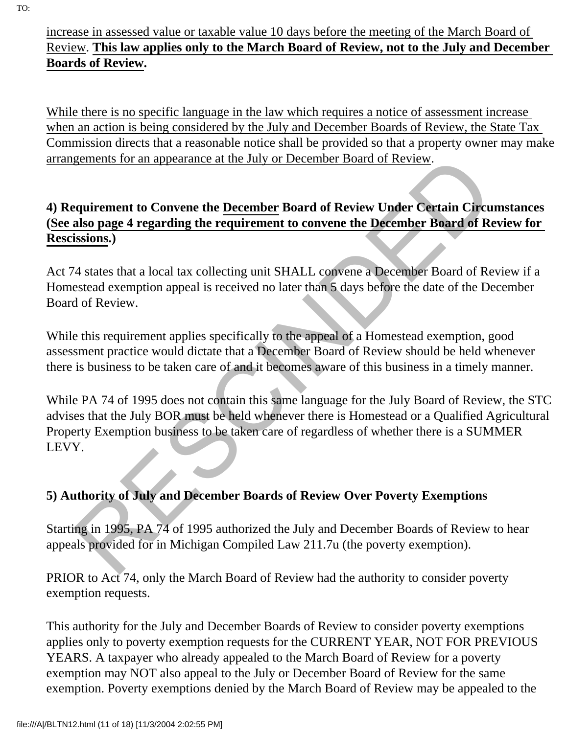#### increase in assessed value or taxable value 10 days before the meeting of the March Board of Review. **This law applies only to the March Board of Review, not to the July and December Boards of Review.**

While there is no specific language in the law which requires a notice of assessment increase when an action is being considered by the July and December Boards of Review, the State Tax Commission directs that a reasonable notice shall be provided so that a property owner may make arrangements for an appearance at the July or December Board of Review.

#### **4) Requirement to Convene the December Board of Review Under Certain Circumstances (See also page 4 regarding the requirement to convene the December Board of Review for Rescissions.)**

Act 74 states that a local tax collecting unit SHALL convene a December Board of Review if a Homestead exemption appeal is received no later than 5 days before the date of the December Board of Review.

While this requirement applies specifically to the appeal of a Homestead exemption, good assessment practice would dictate that a December Board of Review should be held whenever there is business to be taken care of and it becomes aware of this business in a timely manner.

gements for an appearance at the July or December Board of Review.<br>
equirement to Convene the <u>December</u> Board of Review Under Certain Circu<br>
states page 4 regarding the requirement to convene the December Board of Re<br>
iss While PA 74 of 1995 does not contain this same language for the July Board of Review, the STC advises that the July BOR must be held whenever there is Homestead or a Qualified Agricultural Property Exemption business to be taken care of regardless of whether there is a SUMMER LEVY.

#### **5) Authority of July and December Boards of Review Over Poverty Exemptions**

Starting in 1995, PA 74 of 1995 authorized the July and December Boards of Review to hear appeals provided for in Michigan Compiled Law 211.7u (the poverty exemption).

PRIOR to Act 74, only the March Board of Review had the authority to consider poverty exemption requests.

This authority for the July and December Boards of Review to consider poverty exemptions applies only to poverty exemption requests for the CURRENT YEAR, NOT FOR PREVIOUS YEARS. A taxpayer who already appealed to the March Board of Review for a poverty exemption may NOT also appeal to the July or December Board of Review for the same exemption. Poverty exemptions denied by the March Board of Review may be appealed to the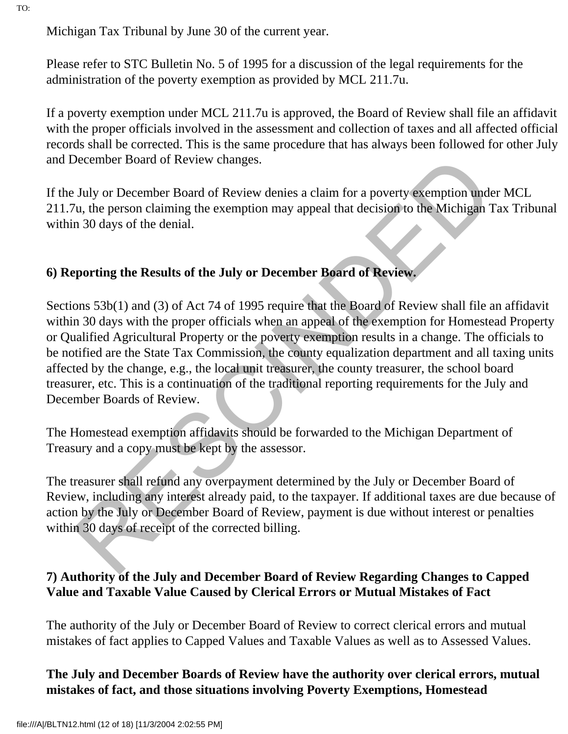Michigan Tax Tribunal by June 30 of the current year.

Please refer to STC Bulletin No. 5 of 1995 for a discussion of the legal requirements for the administration of the poverty exemption as provided by MCL 211.7u.

If a poverty exemption under MCL 211.7u is approved, the Board of Review shall file an affidavit with the proper officials involved in the assessment and collection of taxes and all affected official records shall be corrected. This is the same procedure that has always been followed for other July and December Board of Review changes.

If the July or December Board of Review denies a claim for a poverty exemption under MCL 211.7u, the person claiming the exemption may appeal that decision to the Michigan Tax Tribunal within 30 days of the denial.

#### **6) Reporting the Results of the July or December Board of Review.**

December Board of Review changes.<br>
July or December Board of Review denies a claim for a poverty exemption und<br>
July or December Board of Review denies a claim for a poverty exemption und<br>
20 du, the person claiming the ex Sections 53b(1) and (3) of Act 74 of 1995 require that the Board of Review shall file an affidavit within 30 days with the proper officials when an appeal of the exemption for Homestead Property or Qualified Agricultural Property or the poverty exemption results in a change. The officials to be notified are the State Tax Commission, the county equalization department and all taxing units affected by the change, e.g., the local unit treasurer, the county treasurer, the school board treasurer, etc. This is a continuation of the traditional reporting requirements for the July and December Boards of Review.

The Homestead exemption affidavits should be forwarded to the Michigan Department of Treasury and a copy must be kept by the assessor.

The treasurer shall refund any overpayment determined by the July or December Board of Review, including any interest already paid, to the taxpayer. If additional taxes are due because of action by the July or December Board of Review, payment is due without interest or penalties within 30 days of receipt of the corrected billing.

#### **7) Authority of the July and December Board of Review Regarding Changes to Capped Value and Taxable Value Caused by Clerical Errors or Mutual Mistakes of Fact**

The authority of the July or December Board of Review to correct clerical errors and mutual mistakes of fact applies to Capped Values and Taxable Values as well as to Assessed Values.

#### **The July and December Boards of Review have the authority over clerical errors, mutual mistakes of fact, and those situations involving Poverty Exemptions, Homestead**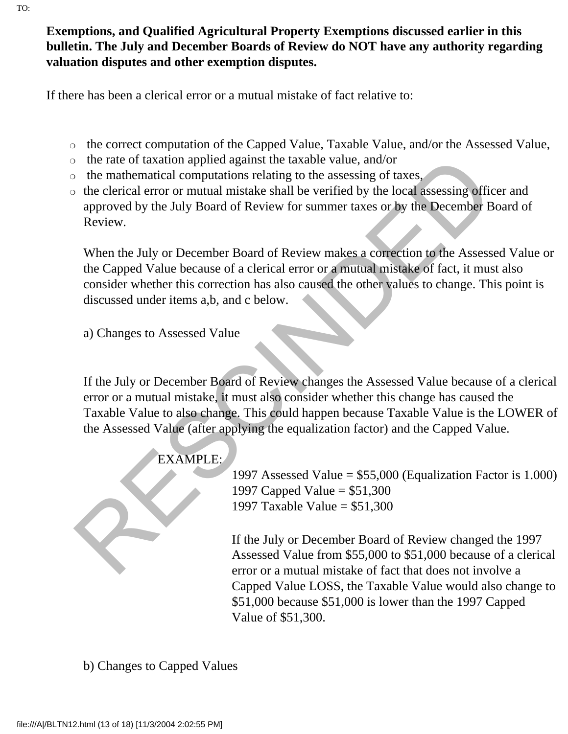**Exemptions, and Qualified Agricultural Property Exemptions discussed earlier in this** 

# **bulletin. The July and December Boards of Review do NOT have any authority regarding valuation disputes and other exemption disputes.**

If there has been a clerical error or a mutual mistake of fact relative to:

- ❍ the correct computation of the Capped Value, Taxable Value, and/or the Assessed Value,
- ❍ the rate of taxation applied against the taxable value, and/or
- ❍ the mathematical computations relating to the assessing of taxes,
- ❍ the clerical error or mutual mistake shall be verified by the local assessing officer and approved by the July Board of Review for summer taxes or by the December Board of Review.

When the July or December Board of Review makes a correction to the Assessed Value or the Capped Value because of a clerical error or a mutual mistake of fact, it must also consider whether this correction has also caused the other values to change. This point is discussed under items a,b, and c below.

a) Changes to Assessed Value

The mathematical computations relating to the assessing of the methematical computations relating to the assessing of the derival error or mutual mistake shall be verified by the local assessing official computed by the Ju If the July or December Board of Review changes the Assessed Value because of a clerical error or a mutual mistake, it must also consider whether this change has caused the Taxable Value to also change. This could happen because Taxable Value is the LOWER of the Assessed Value (after applying the equalization factor) and the Capped Value.

### EXAMPLE:

1997 Assessed Value = \$55,000 (Equalization Factor is 1.000) 1997 Capped Value = \$51,300 1997 Taxable Value = \$51,300

If the July or December Board of Review changed the 1997 Assessed Value from \$55,000 to \$51,000 because of a clerical error or a mutual mistake of fact that does not involve a Capped Value LOSS, the Taxable Value would also change to \$51,000 because \$51,000 is lower than the 1997 Capped Value of \$51,300.

b) Changes to Capped Values

TO: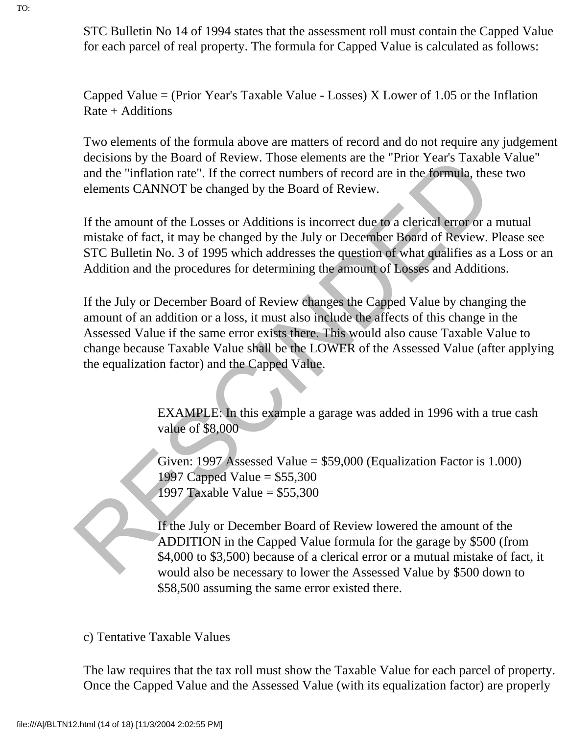STC Bulletin No 14 of 1994 states that the assessment roll must contain the Capped Value for each parcel of real property. The formula for Capped Value is calculated as follows:

Capped Value  $=$  (Prior Year's Taxable Value - Losses) X Lower of 1.05 or the Inflation Rate + Additions

Two elements of the formula above are matters of record and do not require any judgement decisions by the Board of Review. Those elements are the "Prior Year's Taxable Value" and the "inflation rate". If the correct numbers of record are in the formula, these two elements CANNOT be changed by the Board of Review.

If the amount of the Losses or Additions is incorrect due to a clerical error or a mutual mistake of fact, it may be changed by the July or December Board of Review. Please see STC Bulletin No. 3 of 1995 which addresses the question of what qualifies as a Loss or an Addition and the procedures for determining the amount of Losses and Additions.

decisions by the Board of Review. Those elements are the "Fron Years I axable<br>
and the "inflation rate". If the correct numbers of record are in the formula, the<br>
elements CANNOT be changed by the Board of Review.<br>
If the If the July or December Board of Review changes the Capped Value by changing the amount of an addition or a loss, it must also include the affects of this change in the Assessed Value if the same error exists there. This would also cause Taxable Value to change because Taxable Value shall be the LOWER of the Assessed Value (after applying the equalization factor) and the Capped Value.

EXAMPLE: In this example a garage was added in 1996 with a true cash value of \$8,000

Given: 1997 Assessed Value = \$59,000 (Equalization Factor is 1.000) 1997 Capped Value = \$55,300 1997 Taxable Value = \$55,300

If the July or December Board of Review lowered the amount of the ADDITION in the Capped Value formula for the garage by \$500 (from \$4,000 to \$3,500) because of a clerical error or a mutual mistake of fact, it would also be necessary to lower the Assessed Value by \$500 down to \$58,500 assuming the same error existed there.

c) Tentative Taxable Values

The law requires that the tax roll must show the Taxable Value for each parcel of property. Once the Capped Value and the Assessed Value (with its equalization factor) are properly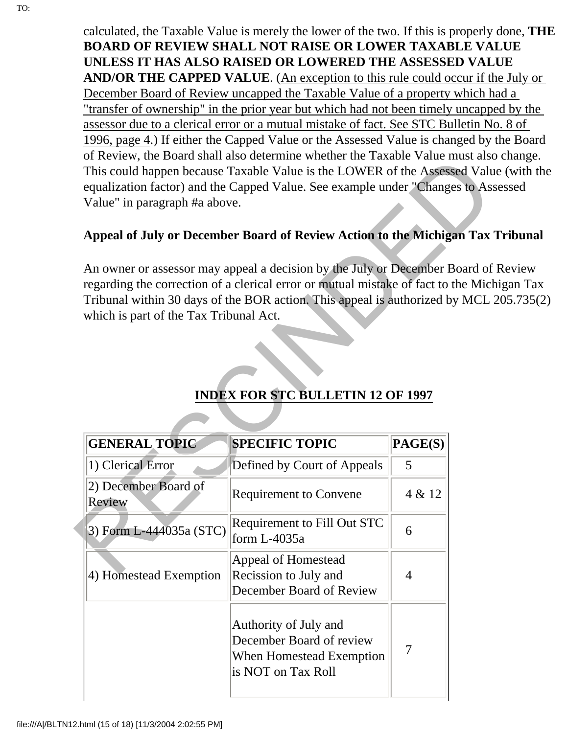calculated, the Taxable Value is merely the lower of the two. If this is properly done, **THE BOARD OF REVIEW SHALL NOT RAISE OR LOWER TAXABLE VALUE UNLESS IT HAS ALSO RAISED OR LOWERED THE ASSESSED VALUE AND/OR THE CAPPED VALUE**. (An exception to this rule could occur if the July or December Board of Review uncapped the Taxable Value of a property which had a "transfer of ownership" in the prior year but which had not been timely uncapped by the assessor due to a clerical error or a mutual mistake of fact. See STC Bulletin No. 8 of 1996, page 4.) If either the Capped Value or the Assessed Value is changed by the Board of Review, the Board shall also determine whether the Taxable Value must also change. This could happen because Taxable Value is the LOWER of the Assessed Value (with the equalization factor) and the Capped Value. See example under "Changes to Assessed Value" in paragraph #a above.

#### **Appeal of July or December Board of Review Action to the Michigan Tax Tribunal**

An owner or assessor may appeal a decision by the July or December Board of Review regarding the correction of a clerical error or mutual mistake of fact to the Michigan Tax Tribunal within 30 days of the BOR action. This appeal is authorized by MCL 205.735(2) which is part of the Tax Tribunal Act.

| Value" in paragraph #a above.          | of Review, the Board shall also determine whether the Taxable Value must also<br>This could happen because Taxable Value is the LOWER of the Assessed Valu<br>equalization factor) and the Capped Value. See example under "Changes to As        |         |  |
|----------------------------------------|--------------------------------------------------------------------------------------------------------------------------------------------------------------------------------------------------------------------------------------------------|---------|--|
|                                        | Appeal of July or December Board of Review Action to the Michigan Tax                                                                                                                                                                            |         |  |
| which is part of the Tax Tribunal Act. | An owner or assessor may appeal a decision by the July or December Board of<br>regarding the correction of a clerical error or mutual mistake of fact to the Micl<br>Tribunal within 30 days of the BOR action. This appeal is authorized by MCL |         |  |
|                                        | <b>INDEX FOR STC BULLETIN 12 OF 1997</b>                                                                                                                                                                                                         |         |  |
| <b>GENERAL TOPIC</b>                   | <b>SPECIFIC TOPIC</b>                                                                                                                                                                                                                            | PAGE(S) |  |
| 1) Clerical Error                      | Defined by Court of Appeals                                                                                                                                                                                                                      | 5       |  |
| 2) December Board of<br>Review         | <b>Requirement to Convene</b>                                                                                                                                                                                                                    | 4 & 12  |  |
| 3) Form L-444035a (STC)                | Requirement to Fill Out STC<br>form L-4035a                                                                                                                                                                                                      | 6       |  |
| 4) Homestead Exemption                 | Appeal of Homestead<br>Recission to July and<br>December Board of Review                                                                                                                                                                         | 4       |  |
|                                        | Authority of July and<br>December Board of review<br>When Homestead Exemption<br>is NOT on Tax Roll                                                                                                                                              | 7       |  |

#### **INDEX FOR STC BULLETIN 12 OF 1997**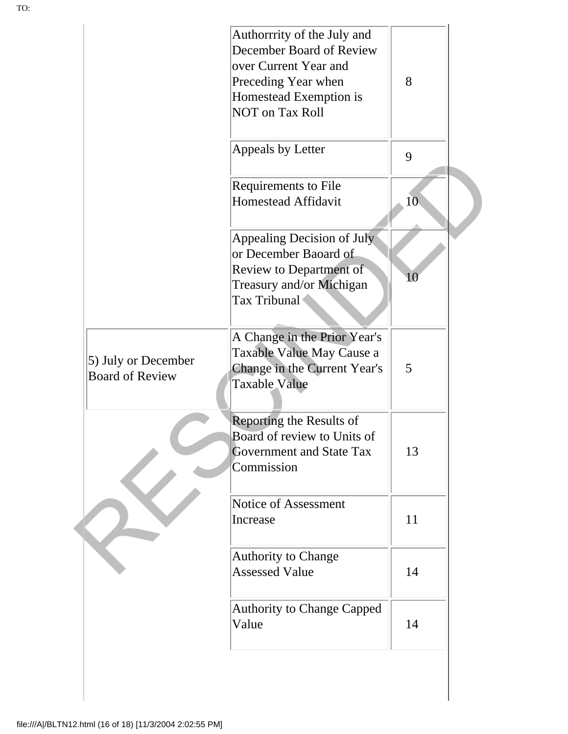|                                               | Authorrrity of the July and<br>December Board of Review<br>over Current Year and                                  |                 |  |
|-----------------------------------------------|-------------------------------------------------------------------------------------------------------------------|-----------------|--|
|                                               | Preceding Year when<br>Homestead Exemption is<br><b>NOT on Tax Roll</b>                                           | 8               |  |
|                                               | Appeals by Letter                                                                                                 | 9               |  |
|                                               | Requirements to File<br><b>Homestead Affidavit</b>                                                                | 10 <sub>1</sub> |  |
|                                               | Appealing Decision of July<br>or December Baoard of                                                               |                 |  |
|                                               | Review to Department of<br>Treasury and/or Michigan<br>Tax Tribunal                                               | $10\,$          |  |
| 5) July or December<br><b>Board of Review</b> | A Change in the Prior Year's<br>Taxable Value May Cause a<br>Change in the Current Year's<br><b>Taxable Value</b> | 5               |  |
|                                               | Reporting the Results of                                                                                          |                 |  |
|                                               | Board of review to Units of<br><b>Government and State Tax</b><br>Commission                                      | 13              |  |
|                                               | Notice of Assessment<br>Increase                                                                                  | 11              |  |
|                                               | <b>Authority to Change</b><br><b>Assessed Value</b>                                                               | 14              |  |
|                                               | <b>Authority to Change Capped</b><br>Value                                                                        | 14              |  |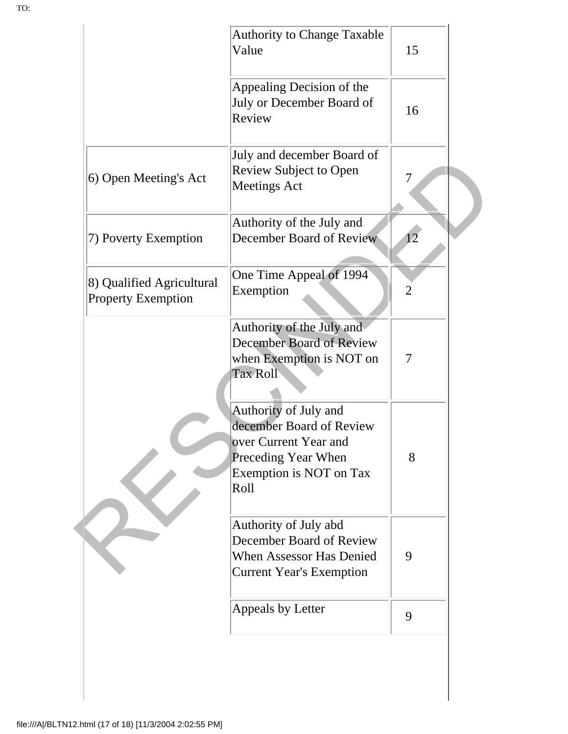|                                                        | <b>Authority to Change Taxable</b><br>Value                                                                                                 | 15             |
|--------------------------------------------------------|---------------------------------------------------------------------------------------------------------------------------------------------|----------------|
|                                                        | Appealing Decision of the<br>July or December Board of<br>Review                                                                            | 16             |
| 6) Open Meeting's Act                                  | July and december Board of<br><b>Review Subject to Open</b><br><b>Meetings Act</b>                                                          | 7              |
| 7) Poverty Exemption                                   | Authority of the July and<br>December Board of Review                                                                                       | 12             |
| 8) Qualified Agricultural<br><b>Property Exemption</b> | One Time Appeal of 1994<br>Exemption                                                                                                        | $\overline{2}$ |
|                                                        | Authority of the July and<br>December Board of Review<br>when Exemption is NOT on<br><b>Tax Roll</b>                                        | 7              |
|                                                        | Authority of July and<br>december Board of Review<br>over Current Year and<br><b>Preceding Year When</b><br>Exemption is NOT on Tax<br>Roll | 8              |
|                                                        | Authority of July abd<br>December Board of Review<br><b>When Assessor Has Denied</b><br><b>Current Year's Exemption</b>                     | 9              |
|                                                        | Appeals by Letter                                                                                                                           | 9              |